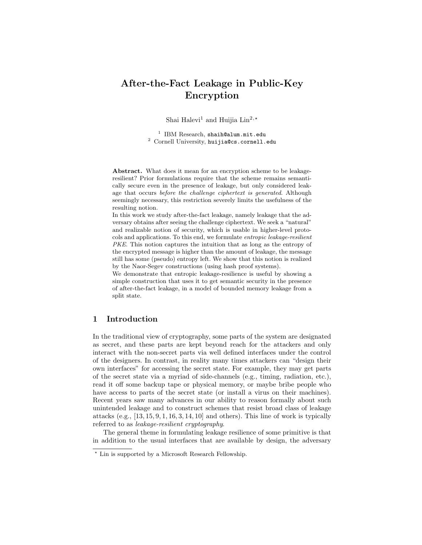# After-the-Fact Leakage in Public-Key Encryption

Shai Halevi<sup>1</sup> and Huijia Lin<sup>2,\*</sup>

<sup>1</sup> IBM Research, shaih@alum.mit.edu <sup>2</sup> Cornell University, huijia@cs.cornell.edu

Abstract. What does it mean for an encryption scheme to be leakageresilient? Prior formulations require that the scheme remains semantically secure even in the presence of leakage, but only considered leakage that occurs before the challenge ciphertext is generated. Although seemingly necessary, this restriction severely limits the usefulness of the resulting notion.

In this work we study after-the-fact leakage, namely leakage that the adversary obtains after seeing the challenge ciphertext. We seek a "natural" and realizable notion of security, which is usable in higher-level protocols and applications. To this end, we formulate entropic leakage-resilient PKE. This notion captures the intuition that as long as the entropy of the encrypted message is higher than the amount of leakage, the message still has some (pseudo) entropy left. We show that this notion is realized by the Naor-Segev constructions (using hash proof systems).

We demonstrate that entropic leakage-resilience is useful by showing a simple construction that uses it to get semantic security in the presence of after-the-fact leakage, in a model of bounded memory leakage from a split state.

# 1 Introduction

In the traditional view of cryptography, some parts of the system are designated as secret, and these parts are kept beyond reach for the attackers and only interact with the non-secret parts via well defined interfaces under the control of the designers. In contrast, in reality many times attackers can "design their own interfaces" for accessing the secret state. For example, they may get parts of the secret state via a myriad of side-channels (e.g., timing, radiation, etc.), read it off some backup tape or physical memory, or maybe bribe people who have access to parts of the secret state (or install a virus on their machines). Recent years saw many advances in our ability to reason formally about such unintended leakage and to construct schemes that resist broad class of leakage attacks (e.g.,  $[13, 15, 9, 1, 16, 3, 14, 10]$  and others). This line of work is typically referred to as leakage-resilient cryptography.

The general theme in formulating leakage resilience of some primitive is that in addition to the usual interfaces that are available by design, the adversary

<sup>?</sup> Lin is supported by a Microsoft Research Fellowship.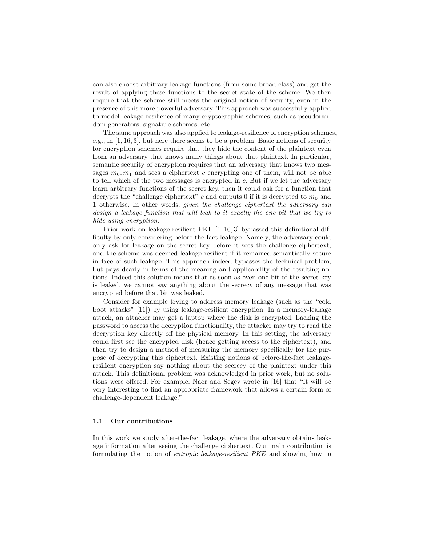can also choose arbitrary leakage functions (from some broad class) and get the result of applying these functions to the secret state of the scheme. We then require that the scheme still meets the original notion of security, even in the presence of this more powerful adversary. This approach was successfully applied to model leakage resilience of many cryptographic schemes, such as pseudorandom generators, signature schemes, etc.

The same approach was also applied to leakage-resilience of encryption schemes, e.g., in [1, 16, 3], but here there seems to be a problem: Basic notions of security for encryption schemes require that they hide the content of the plaintext even from an adversary that knows many things about that plaintext. In particular, semantic security of encryption requires that an adversary that knows two messages  $m_0, m_1$  and sees a ciphertext c encrypting one of them, will not be able to tell which of the two messages is encrypted in  $c$ . But if we let the adversary learn arbitrary functions of the secret key, then it could ask for a function that decrypts the "challenge ciphertext" c and outputs 0 if it is decrypted to  $m_0$  and 1 otherwise. In other words, given the challenge ciphertext the adversary can design a leakage function that will leak to it exactly the one bit that we try to hide using encryption.

Prior work on leakage-resilient PKE [1, 16, 3] bypassed this definitional difficulty by only considering before-the-fact leakage. Namely, the adversary could only ask for leakage on the secret key before it sees the challenge ciphertext, and the scheme was deemed leakage resilient if it remained semantically secure in face of such leakage. This approach indeed bypasses the technical problem, but pays dearly in terms of the meaning and applicability of the resulting notions. Indeed this solution means that as soon as even one bit of the secret key is leaked, we cannot say anything about the secrecy of any message that was encrypted before that bit was leaked.

Consider for example trying to address memory leakage (such as the "cold boot attacks" [11]) by using leakage-resilient encryption. In a memory-leakage attack, an attacker may get a laptop where the disk is encrypted. Lacking the password to access the decryption functionality, the attacker may try to read the decryption key directly off the physical memory. In this setting, the adversary could first see the encrypted disk (hence getting access to the ciphertext), and then try to design a method of measuring the memory specifically for the purpose of decrypting this ciphertext. Existing notions of before-the-fact leakageresilient encryption say nothing about the secrecy of the plaintext under this attack. This definitional problem was acknowledged in prior work, but no solutions were offered. For example, Naor and Segev wrote in [16] that "It will be very interesting to find an appropriate framework that allows a certain form of challenge-dependent leakage."

### 1.1 Our contributions

In this work we study after-the-fact leakage, where the adversary obtains leakage information after seeing the challenge ciphertext. Our main contribution is formulating the notion of entropic leakage-resilient PKE and showing how to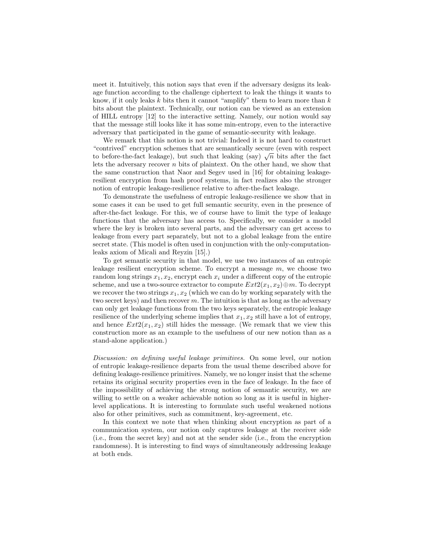meet it. Intuitively, this notion says that even if the adversary designs its leakage function according to the challenge ciphertext to leak the things it wants to know, if it only leaks  $k$  bits then it cannot "amplify" them to learn more than  $k$ bits about the plaintext. Technically, our notion can be viewed as an extension of HILL entropy [12] to the interactive setting. Namely, our notion would say that the message still looks like it has some min-entropy, even to the interactive adversary that participated in the game of semantic-security with leakage.

We remark that this notion is not trivial: Indeed it is not hard to construct "contrived" encryption schemes that are semantically secure (even with respect to before-the-fact leakage), but such that leaking (say)  $\sqrt{n}$  bits after the fact leakage), but such that leaking (say)  $\sqrt{n}$  bits after the fact lets the adversary recover  $n$  bits of plaintext. On the other hand, we show that the same construction that Naor and Segev used in [16] for obtaining leakageresilient encryption from hash proof systems, in fact realizes also the stronger notion of entropic leakage-resilience relative to after-the-fact leakage.

To demonstrate the usefulness of entropic leakage-resilience we show that in some cases it can be used to get full semantic security, even in the presence of after-the-fact leakage. For this, we of course have to limit the type of leakage functions that the adversary has access to. Specifically, we consider a model where the key is broken into several parts, and the adversary can get access to leakage from every part separately, but not to a global leakage from the entire secret state. (This model is often used in conjunction with the only-computationleaks axiom of Micali and Reyzin [15].)

To get semantic security in that model, we use two instances of an entropic leakage resilient encryption scheme. To encrypt a message  $m$ , we choose two random long strings  $x_1, x_2$ , encrypt each  $x_i$  under a different copy of the entropic scheme, and use a two-source extractor to compute  $Ext2(x_1, x_2) \oplus m$ . To decrypt we recover the two strings  $x_1, x_2$  (which we can do by working separately with the two secret keys) and then recover  $m$ . The intuition is that as long as the adversary can only get leakage functions from the two keys separately, the entropic leakage resilience of the underlying scheme implies that  $x_1, x_2$  still have a lot of entropy, and hence  $Ext2(x_1, x_2)$  still hides the message. (We remark that we view this construction more as an example to the usefulness of our new notion than as a stand-alone application.)

Discussion: on defining useful leakage primitives. On some level, our notion of entropic leakage-resilience departs from the usual theme described above for defining leakage-resilience primitives. Namely, we no longer insist that the scheme retains its original security properties even in the face of leakage. In the face of the impossibility of achieving the strong notion of semantic security, we are willing to settle on a weaker achievable notion so long as it is useful in higherlevel applications. It is interesting to formulate such useful weakened notions also for other primitives, such as commitment, key-agreement, etc.

In this context we note that when thinking about encryption as part of a communication system, our notion only captures leakage at the receiver side (i.e., from the secret key) and not at the sender side (i.e., from the encryption randomness). It is interesting to find ways of simultaneously addressing leakage at both ends.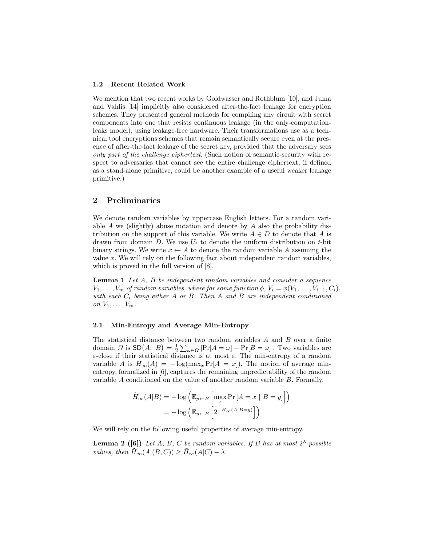#### 1.2 Recent Related Work

We mention that two recent works by Goldwasser and Rothblum [10], and Juma and Vahlis [14] implicitly also considered after-the-fact leakage for encryption schemes. They presented general methods for compiling any circuit with secret components into one that resists continuous leakage (in the only-computationleaks model), using leakage-free hardware. Their transformations use as a technical tool encryptions schemes that remain semantically secure even at the presence of after-the-fact leakage of the secret key, provided that the adversary sees only part of the challenge ciphertext. (Such notion of semantic-security with respect to adversaries that cannot see the entire challenge ciphertext, if defined as a stand-alone primitive, could be another example of a useful weaker leakage primitive.)

# 2 Preliminaries

We denote random variables by uppercase English letters. For a random variable  $A$  we (slightly) abuse notation and denote by  $A$  also the probability distribution on the support of this variable. We write  $A \in D$  to denote that A is drawn from domain  $D$ . We use  $U_t$  to denote the uniform distribution on t-bit binary strings. We write  $x \leftarrow A$  to denote the random variable A assuming the value  $x$ . We will rely on the following fact about independent random variables, which is proved in the full version of [8].

Lemma 1 Let A, B be independent random variables and consider a sequence  $V_1, \ldots, V_m$  of random variables, where for some function  $\phi, V_i = \phi(V_1, \ldots, V_{i-1}, C_i)$ , with each  $C_i$  being either A or B. Then A and B are independent conditioned on  $V_1, \ldots, V_m$ .

# 2.1 Min-Entropy and Average Min-Entropy

The statistical distance between two random variables  $A$  and  $B$  over a finite domain  $\Omega$  is  $SD(A, B) = \frac{1}{2} \sum_{\omega \in \Omega} |Pr[A = \omega] - Pr[B = \omega]|$ . Two variables are  $\varepsilon$ -close if their statistical distance is at most  $\varepsilon$ . The min-entropy of a random variable A is  $H_{\infty}(A) = -\log(\max_{x} \Pr[A = x])$ . The notion of average minentropy, formalized in [6], captures the remaining unpredictability of the random variable A conditioned on the value of another random variable B. Formally,

$$
\tilde{H}_{\infty}(A|B) = -\log\left(\mathbb{E}_{y \leftarrow B} \left[\max_{x} \Pr\left[A = x \mid B = y\right]\right]\right)
$$
\n
$$
= -\log\left(\mathbb{E}_{y \leftarrow B} \left[2^{-H_{\infty}(A|B = y)}\right]\right)
$$

We will rely on the following useful properties of average min-entropy.

**Lemma 2** ([6]) Let A, B, C be random variables. If B has at most  $2^{\lambda}$  possible values, then  $H_{\infty}(A|(B, C)) \geq H_{\infty}(A|C) - \lambda$ .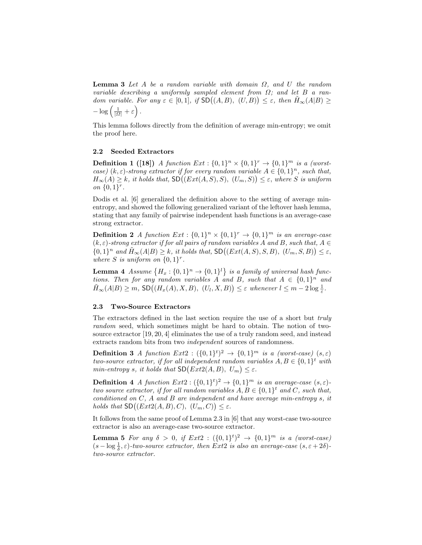**Lemma 3** Let A be a random variable with domain  $\Omega$ , and U the random variable describing a uniformly sampled element from  $\Omega$ ; and let B a random variable. For any  $\varepsilon \in [0,1]$ , if  $\mathsf{SD}((A,B), (U,B)) \leq \varepsilon$ , then  $\tilde{H}_{\infty}(A|B) \geq$  $-\log\left(\frac{1}{|\Omega|}+\varepsilon\right).$ 

This lemma follows directly from the definition of average min-entropy; we omit the proof here.

# 2.2 Seeded Extractors

**Definition 1** ([18]) A function  $Ext : \{0,1\}^n \times \{0,1\}^r \rightarrow \{0,1\}^m$  is a (worstcase)  $(k, \varepsilon)$ -strong extractor if for every random variable  $A \in \{0,1\}^n$ , such that,  $H_{\infty}(A) \geq k$ , it holds that,  $SD((Ext(A, S), S), (U_m, S)) \leq \varepsilon$ , where S is uniform on  $\{0,1\}^r$ .

Dodis et al. [6] generalized the definition above to the setting of average minentropy, and showed the following generalized variant of the leftover hash lemma, stating that any family of pairwise independent hash functions is an average-case strong extractor.

**Definition 2** A function  $Ext : \{0,1\}^n \times \{0,1\}^r \rightarrow \{0,1\}^m$  is an average-case  $(k, \varepsilon)$ -strong extractor if for all pairs of random variables A and B, such that,  $A \in$  $\{0,1\}^n$  and  $\widetilde{H}_{\infty}(A|B) \geq k$ , it holds that,  $SD((Ext(A, S), S, B), (U_m, S, B)) \leq \varepsilon$ , where S is uniform on  $\{0,1\}^r$ .

**Lemma 4** Assume  $\{H_x: \{0,1\}^n \to \{0,1\}^l\}$  is a family of universal hash functions. Then for any random variables A and B, such that  $A \in \{0,1\}^n$  and  $\widetilde{H}_{\infty}(A|B) \geq m$ ,  $SD((H_x(A), X, B), (U_l, X, B)) \leq \varepsilon$  whenever  $l \leq m - 2 \log \frac{1}{\varepsilon}$ .

## 2.3 Two-Source Extractors

The extractors defined in the last section require the use of a short but *truly* random seed, which sometimes might be hard to obtain. The notion of twosource extractor [19, 20, 4] eliminates the use of a truly random seed, and instead extracts random bits from two independent sources of randomness.

**Definition 3** A function  $Ext2 : (\{0,1\}^t)^2 \rightarrow \{0,1\}^m$  is a (worst-case)  $(s,\varepsilon)$ two-source extractor, if for all independent random variables  $A, B \in \{0, 1\}^t$  with min-entropy s, it holds that  $SD(Ext2(A, B), U_m) \leq \varepsilon$ .

**Definition 4** A function  $Ext2: (\{0,1\}^t)^2 \rightarrow \{0,1\}^m$  is an average-case  $(s, \varepsilon)$ two source extractor, if for all random variables  $A, B \in \{0,1\}^t$  and C, such that, conditioned on C, A and B are independent and have average min-entropy s, it holds that  $\mathsf{SD}((Ext2(A,B), C), (U_m, C)) \leq \varepsilon$ .

It follows from the same proof of Lemma 2.3 in [6] that any worst-case two-source extractor is also an average-case two-source extractor.

**Lemma 5** For any  $\delta > 0$ , if  $Ext2 : (\{0,1\}^t)^2 \rightarrow \{0,1\}^m$  is a (worst-case)  $(s - \log \frac{1}{\delta}, \varepsilon)$ -two-source extractor, then Ext2 is also an average-case  $(s, \varepsilon + 2\delta)$ two-source extractor.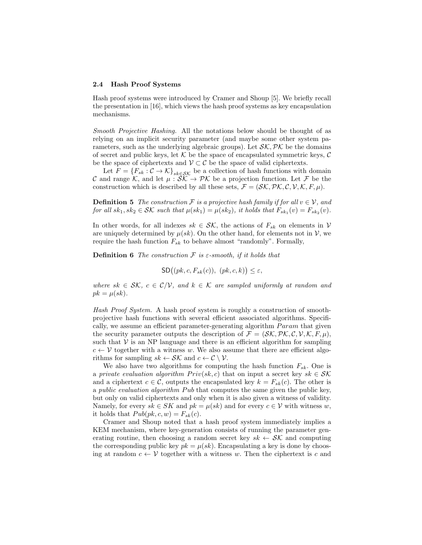#### 2.4 Hash Proof Systems

Hash proof systems were introduced by Cramer and Shoup [5]. We briefly recall the presentation in [16], which views the hash proof systems as key encapsulation mechanisms.

Smooth Projective Hashing. All the notations below should be thought of as relying on an implicit security parameter (and maybe some other system parameters, such as the underlying algebraic groups). Let  $\mathcal{SK}, \mathcal{PK}$  be the domains of secret and public keys, let  $K$  be the space of encapsulated symmetric keys,  $C$ be the space of ciphertexts and  $\mathcal{V} \subset \mathcal{C}$  be the space of valid ciphertexts.

Let  $F = \{F_{sk} : C \to \mathcal{K}\}_{sk \in \mathcal{SK}}$  be a collection of hash functions with domain C and range K, and let  $\mu$  :  $\mathcal{SK} \to \mathcal{PK}$  be a projection function. Let F be the construction which is described by all these sets,  $\mathcal{F} = (\mathcal{SK}, \mathcal{PK}, \mathcal{C}, \mathcal{V}, \mathcal{K}, F, \mu)$ .

**Definition 5** The construction F is a projective hash family if for all  $v \in V$ , and for all  $sk_1, sk_2 \in \mathcal{SK}$  such that  $\mu(sk_1) = \mu(sk_2)$ , it holds that  $F_{sk_1}(v) = F_{sk_2}(v)$ .

In other words, for all indexes  $sk \in S\mathcal{K}$ , the actions of  $F_{sk}$  on elements in  $\mathcal{V}$ are uniquely determined by  $\mu(sk)$ . On the other hand, for elements not in  $V$ , we require the hash function  $F_{sk}$  to behave almost "randomly". Formally,

**Definition 6** The construction  $\mathcal F$  is  $\varepsilon$ -smooth, if it holds that

$$
SD((pk, c, F_{sk}(c)), (pk, c, k)) \le \varepsilon,
$$

where  $sk \in \mathcal{SK}, c \in \mathcal{C}/\mathcal{V}$ , and  $k \in \mathcal{K}$  are sampled uniformly at random and  $pk = \mu(sk)$ .

Hash Proof System. A hash proof system is roughly a construction of smoothprojective hash functions with several efficient associated algorithms. Specifically, we assume an efficient parameter-generating algorithm  $Param$  that given the security parameter outputs the description of  $\mathcal{F} = (\mathcal{SK}, \mathcal{PK}, \mathcal{C}, \mathcal{V}, \mathcal{K}, F, \mu)$ , such that  $V$  is an NP language and there is an efficient algorithm for sampling  $c \leftarrow \mathcal{V}$  together with a witness w. We also assume that there are efficient algorithms for sampling  $sk \leftarrow \mathcal{SK}$  and  $c \leftarrow C \setminus \mathcal{V}$ .

We also have two algorithms for computing the hash function  $F_{sk}$ . One is a private evaluation algorithm  $Priv(sk, c)$  that on input a secret key  $sk \in \mathcal{SK}$ and a ciphertext  $c \in \mathcal{C}$ , outputs the encapsulated key  $k = F_{sk}(c)$ . The other is a *public evaluation algorithm Pub* that computes the same given the public key, but only on valid ciphertexts and only when it is also given a witness of validity. Namely, for every  $sk \in SK$  and  $pk = \mu(sk)$  and for every  $c \in V$  with witness w, it holds that  $Pub(pk, c, w) = F_{sk}(c)$ .

Cramer and Shoup noted that a hash proof system immediately implies a KEM mechanism, where key-generation consists of running the parameter generating routine, then choosing a random secret key  $sk \leftarrow \mathcal{SK}$  and computing the corresponding public key  $pk = \mu(sk)$ . Encapsulating a key is done by choosing at random  $c \leftarrow \mathcal{V}$  together with a witness w. Then the ciphertext is c and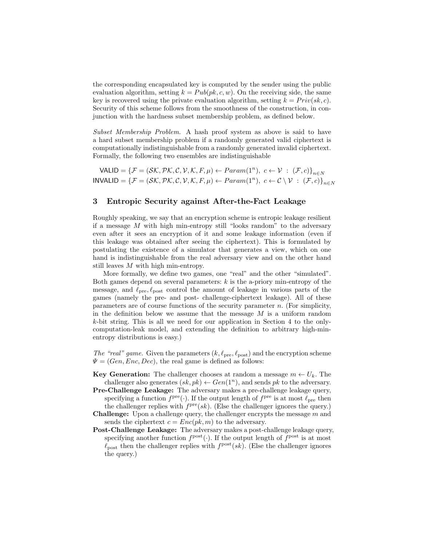the corresponding encapsulated key is computed by the sender using the public evaluation algorithm, setting  $k = Pub(pk, c, w)$ . On the receiving side, the same key is recovered using the private evaluation algorithm, setting  $k = P r i v (sk, c)$ . Security of this scheme follows from the smoothness of the construction, in conjunction with the hardness subset membership problem, as defined below.

Subset Membership Problem. A hash proof system as above is said to have a hard subset membership problem if a randomly generated valid ciphertext is computationally indistinguishable from a randomly generated invalid ciphertext. Formally, the following two ensembles are indistinguishable

VALID = { $\mathcal{F} = (\mathcal{SK}, \mathcal{PK}, \mathcal{C}, \mathcal{V}, \mathcal{K}, F, \mu) \leftarrow Param(1^n), c \leftarrow \mathcal{V} : (\mathcal{F}, c)$ }<sub>n∈N</sub>  $\text{INVALID} = \{ \mathcal{F} = (\mathcal{SK}, \mathcal{PK}, \mathcal{C}, \mathcal{V}, \mathcal{K}, F, \mu) \leftarrow \text{Param}(1^n), \ c \leftarrow \mathcal{C} \setminus \mathcal{V} \ : \ (\mathcal{F}, c) \}_{n \in \mathbb{N}}$ 

# 3 Entropic Security against After-the-Fact Leakage

Roughly speaking, we say that an encryption scheme is entropic leakage resilient if a message M with high min-entropy still "looks random" to the adversary even after it sees an encryption of it and some leakage information (even if this leakage was obtained after seeing the ciphertext). This is formulated by postulating the existence of a simulator that generates a view, which on one hand is indistinguishable from the real adversary view and on the other hand still leaves M with high min-entropy.

More formally, we define two games, one "real" and the other "simulated". Both games depend on several parameters:  $k$  is the a-priory min-entropy of the message, and  $\ell_{\text{pre}}, \ell_{\text{post}}$  control the amount of leakage in various parts of the games (namely the pre- and post- challenge-ciphertext leakage). All of these parameters are of course functions of the security parameter  $n$ . (For simplicity, in the definition below we assume that the message  $M$  is a uniform random k-bit string. This is all we need for our application in Section 4 to the onlycomputation-leak model, and extending the definition to arbitrary high-minentropy distributions is easy.)

The "real" game. Given the parameters  $(k, \ell_{pre}, \ell_{post})$  and the encryption scheme  $\Psi = (Gen, Enc, Dec)$ , the real game is defined as follows:

- **Key Generation:** The challenger chooses at random a message  $m \leftarrow U_k$ . The challenger also generates  $(sk, pk) \leftarrow Gen(1^n)$ , and sends pk to the adversary.
- Pre-Challenge Leakage: The adversary makes a pre-challenge leakage query, specifying a function  $f^{\text{pre}}(\cdot)$ . If the output length of  $f^{\text{pre}}$  is at most  $\ell_{\text{pre}}$  then the challenger replies with  $f<sup>pre</sup>(sk)$ . (Else the challenger ignores the query.)
- **Challenge:** Upon a challenge query, the challenger encrypts the message  $m$  and sends the ciphertext  $c = Enc(pk, m)$  to the adversary.
- Post-Challenge Leakage: The adversary makes a post-challenge leakage query, specifying another function  $f<sup>post</sup>(.)$ . If the output length of  $f<sup>post</sup>$  is at most  $\ell_{\text{post}}$  then the challenger replies with  $f^{\text{post}}(sk)$ . (Else the challenger ignores the query.)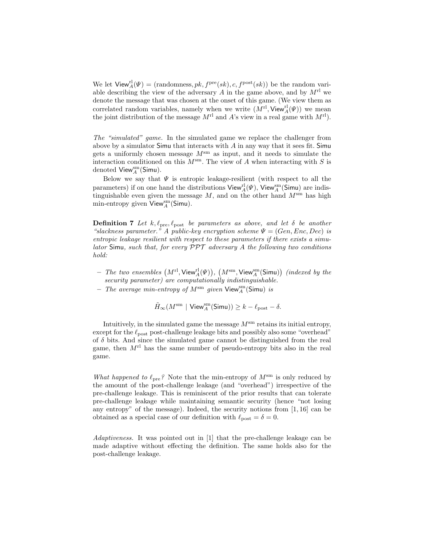We let  $View_A^{\text{rl}}(\Psi) = (randomness, pk, f^{\text{pre}}(sk), c, f^{\text{post}}(sk))$  be the random variable describing the view of the adversary A in the game above, and by  $M<sup>rl</sup>$  we denote the message that was chosen at the onset of this game. (We view them as correlated random variables, namely when we write  $(M<sup>rl</sup>, View<sub>A</sub><sup>rl</sup>(\Psi))$  we mean the joint distribution of the message  $M<sup>rl</sup>$  and A's view in a real game with  $M<sup>rl</sup>$ ).

The "simulated" game. In the simulated game we replace the challenger from above by a simulator  $Simu$  that interacts with  $A$  in any way that it sees fit. Simu gets a uniformly chosen message  $M^{sm}$  as input, and it needs to simulate the interaction conditioned on this  $M^{sm}$ . The view of A when interacting with S is denoted  $\mathsf{View}_{A}^{\mathrm{sm}}(\mathsf{Simu}).$ 

Below we say that  $\Psi$  is entropic leakage-resilient (with respect to all the parameters) if on one hand the distributions  $\mathsf{View}_{A}^{\text{rl}}(\varPsi),$   $\mathsf{View}_{A}^{\text{sm}}(\mathsf{Simu})$  are indistinguishable even given the message  $M$ , and on the other hand  $M^{\text{sm}}$  has high  $\min$ -entropy given  $View_A^{\text{sm}}(\textsf{Simu})$ .

**Definition 7** Let  $k, \ell_{\text{pre}}, \ell_{\text{post}}$  be parameters as above, and let  $\delta$  be another "slackness parameter." A public-key encryption scheme  $\Psi = (Gen, Enc, Dec)$  is entropic leakage resilient with respect to these parameters if there exists a simulator Simu, such that, for every  $\mathcal{PPT}$  adversary A the following two conditions hold:

- The two ensembles  $\left(M^{\text{rl}}, \mathsf{View}_{A}^{\text{rl}}(\varPsi)\right)$ ,  $\left(M^{\text{sm}}, \mathsf{View}_{A}^{\text{sm}}(\mathsf{Simu})\right)$  (indexed by the security parameter) are computationally indistinguishable.
- The average min-entropy of  $M^{\rm sm}$  given  $\mathsf{View}_{A}^{\rm sm}(\mathsf{Simu})$  is

$$
\tilde{H}_\infty(M^{\mathrm{sm}} \ | \ \mathsf{View}_A^{\mathrm{sm}}(\mathsf{Simu})) \geq k - \ell_{\mathrm{post}} - \delta.
$$

Intuitively, in the simulated game the message  $M^{\rm sm}$  retains its initial entropy, except for the  $\ell_{\text{post}}$  post-challenge leakage bits and possibly also some "overhead" of  $\delta$  bits. And since the simulated game cannot be distinguished from the real game, then  $M<sup>rl</sup>$  has the same number of pseudo-entropy bits also in the real game.

What happened to  $\ell_{\text{pre}}$ ? Note that the min-entropy of  $M^{\text{sm}}$  is only reduced by the amount of the post-challenge leakage (and "overhead") irrespective of the pre-challenge leakage. This is reminiscent of the prior results that can tolerate pre-challenge leakage while maintaining semantic security (hence "not losing any entropy" of the message). Indeed, the security notions from [1, 16] can be obtained as a special case of our definition with  $\ell_{\text{post}} = \delta = 0$ .

Adaptiveness. It was pointed out in [1] that the pre-challenge leakage can be made adaptive without effecting the definition. The same holds also for the post-challenge leakage.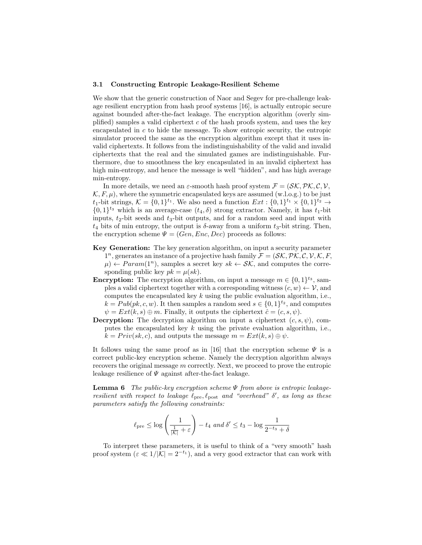### 3.1 Constructing Entropic Leakage-Resilient Scheme

We show that the generic construction of Naor and Segev for pre-challenge leakage resilient encryption from hash proof systems [16], is actually entropic secure against bounded after-the-fact leakage. The encryption algorithm (overly simplified) samples a valid ciphertext  $c$  of the hash proofs system, and uses the key encapsulated in  $c$  to hide the message. To show entropic security, the entropic simulator proceed the same as the encryption algorithm except that it uses invalid ciphertexts. It follows from the indistinguishability of the valid and invalid ciphertexts that the real and the simulated games are indistinguishable. Furthermore, due to smoothness the key encapsulated in an invalid ciphertext has high min-entropy, and hence the message is well "hidden", and has high average min-entropy.

In more details, we need an  $\varepsilon$ -smooth hash proof system  $\mathcal{F} = (\mathcal{SK}, \mathcal{PK}, \mathcal{C}, \mathcal{V}, \mathcal{C}, \mathcal{V})$  $K, F, \mu$ , where the symmetric encapsulated keys are assumed (w.l.o.g.) to be just  $t_1$ -bit strings,  $\mathcal{K} = \{0, 1\}^{t_1}$ . We also need a function  $Ext : \{0, 1\}^{t_1} \times \{0, 1\}^{t_2} \rightarrow$  $\{0,1\}^{t_3}$  which is an average-case  $(t_4, \delta)$  strong extractor. Namely, it has  $t_1$ -bit inputs,  $t_2$ -bit seeds and  $t_3$ -bit outputs, and for a random seed and input with  $t_4$  bits of min entropy, the output is  $\delta$ -away from a uniform  $t_3$ -bit string. Then, the encryption scheme  $\Psi = (Gen, Enc, Dec)$  proceeds as follows:

- Key Generation: The key generation algorithm, on input a security parameter  $1^n$ , generates an instance of a projective hash family  $\mathcal{F} = (\mathcal{SK}, \mathcal{PK}, \mathcal{C}, \mathcal{V}, \mathcal{K}, F, \mathcal{F})$  $\mu$   $\leftarrow$  Param(1<sup>n</sup>), samples a secret key sk  $\leftarrow$  SK, and computes the corresponding public key  $pk = \mu(sk)$ .
- **Encryption:** The encryption algorithm, on input a message  $m \in \{0, 1\}^{t_3}$ , samples a valid ciphertext together with a corresponding witness  $(c, w) \leftarrow V$ , and computes the encapsulated key  $k$  using the public evaluation algorithm, i.e.,  $k = Pub(pk, c, w)$ . It then samples a random seed  $s \in \{0, 1\}^{t_2}$ , and computes  $\psi = Ext(k, s) \oplus m$ . Finally, it outputs the ciphertext  $\hat{c} = (c, s, \psi)$ .
- **Decryption:** The decryption algorithm on input a ciphertext  $(c, s, \psi)$ , computes the encapsulated key  $k$  using the private evaluation algorithm, i.e.,  $k = Priv(sk, c)$ , and outputs the message  $m = Ext(k, s) \oplus \psi$ .

It follows using the same proof as in [16] that the encryption scheme  $\Psi$  is a correct public-key encryption scheme. Namely the decryption algorithm always recovers the original message m correctly. Next, we proceed to prove the entropic leakage resilience of  $\Psi$  against after-the-fact leakage.

**Lemma 6** The public-key encryption scheme  $\Psi$  from above is entropic leakageresilient with respect to leakage  $\ell_{\text{pre}}$ ,  $\ell_{\text{post}}$  and "overhead"  $\delta'$ , as long as these parameters satisfy the following constraints:

$$
\ell_{\text{pre}} \le \log \left( \frac{1}{\frac{1}{|\mathcal{K}|} + \varepsilon} \right) - t_4 \text{ and } \delta' \le t_3 - \log \frac{1}{2^{-t_3} + \delta}
$$

To interpret these parameters, it is useful to think of a "very smooth" hash proof system  $(\varepsilon \ll 1/|\mathcal{K}| = 2^{-t_1})$ , and a very good extractor that can work with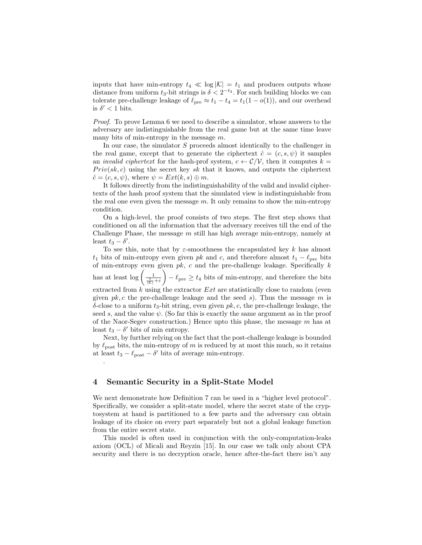inputs that have min-entropy  $t_4 \ll \log |\mathcal{K}| = t_1$  and produces outputs whose distance from uniform  $t_3$ -bit strings is  $\delta < 2^{-t_3}$ . For such building blocks we can tolerate pre-challenge leakage of  $\ell_{pre} \approx t_1 - t_4 = t_1(1 - o(1))$ , and our overhead is  $\delta' < 1$  bits.

Proof. To prove Lemma 6 we need to describe a simulator, whose answers to the adversary are indistinguishable from the real game but at the same time leave many bits of min-entropy in the message m.

In our case, the simulator S proceeds almost identically to the challenger in the real game, except that to generate the ciphertext  $\hat{c} = (c, s, \psi)$  it samples an *invalid ciphertext* for the hash-prof system,  $c \leftarrow C/V$ , then it computes  $k =$  $Priv(sk, c)$  using the secret key sk that it knows, and outputs the ciphertext  $\hat{c} = (c, s, \psi)$ , where  $\psi = Ext(k, s) \oplus m$ .

It follows directly from the indistinguishability of the valid and invalid ciphertexts of the hash proof system that the simulated view is indistinguishable from the real one even given the message  $m$ . It only remains to show the min-entropy condition.

On a high-level, the proof consists of two steps. The first step shows that conditioned on all the information that the adversary receives till the end of the Challenge Phase, the message  $m$  still has high average min-entropy, namely at least  $t_3 - \delta'$ .

To see this, note that by  $\varepsilon$ -smoothness the encapsulated key k has almost  $t_1$  bits of min-entropy even given pk and c, and therefore almost  $t_1 - \ell_{\text{pre}}$  bits of min-entropy even given  $pk$ , c and the pre-challenge leakage. Specifically  $k$ has at least  $\log \left( \frac{1}{\frac{1}{|\mathcal{K}|} + \varepsilon} \right)$  $-\ell_{pre} \geq t_4$  bits of min-entropy, and therefore the bits extracted from  $k$  using the extractor  $Ext$  are statistically close to random (even given  $pk, c$  the pre-challenge leakage and the seed s). Thus the message m is  $\delta$ -close to a uniform  $t_3$ -bit string, even given  $pk$ , c, the pre-challenge leakage, the seed s, and the value  $\psi$ . (So far this is exactly the same argument as in the proof of the Naor-Segev construction.) Hence upto this phase, the message  $m$  has at least  $t_3 - \delta'$  bits of min entropy.

Next, by further relying on the fact that the post-challenge leakage is bounded by  $\ell_{\text{post}}$  bits, the min-entropy of m is reduced by at most this much, so it retains at least  $t_3 - \ell_{\text{post}} - \delta'$  bits of average min-entropy.

# 4 Semantic Security in a Split-State Model

.

We next demonstrate how Definition 7 can be used in a "higher level protocol". Specifically, we consider a split-state model, where the secret state of the cryptosystem at hand is partitioned to a few parts and the adversary can obtain leakage of its choice on every part separately but not a global leakage function from the entire secret state.

This model is often used in conjunction with the only-computation-leaks axiom (OCL) of Micali and Reyzin [15]. In our case we talk only about CPA security and there is no decryption oracle, hence after-the-fact there isn't any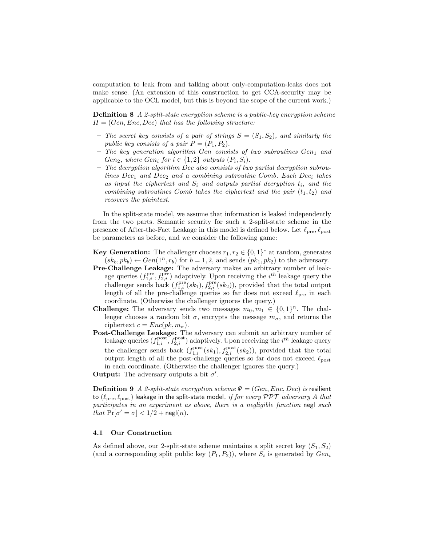computation to leak from and talking about only-computation-leaks does not make sense. (An extension of this construction to get CCA-security may be applicable to the OCL model, but this is beyond the scope of the current work.)

Definition 8 A 2-split-state encryption scheme is a public-key encryption scheme  $\Pi = (Gen, Enc, Dec)$  that has the following structure:

- The secret key consists of a pair of strings  $S = (S_1, S_2)$ , and similarly the public key consists of a pair  $P = (P_1, P_2)$ .
- The key generation algorithm Gen consists of two subroutines  $Gen_1$  and  $Gen_2$ , where  $Gen_i$  for  $i \in \{1,2\}$  outputs  $(P_i, S_i)$ .
- The decryption algorithm Dec also consists of two partial decryption subroutines  $Dec_1$  and  $Dec_2$  and a combining subroutine Comb. Each Dec<sub>i</sub> takes as input the ciphertext and  $S_i$  and outputs partial decryption  $t_i$ , and the combining subroutines Comb takes the ciphertext and the pair  $(t_1, t_2)$  and recovers the plaintext.

In the split-state model, we assume that information is leaked independently from the two parts. Semantic security for such a 2-split-state scheme in the presence of After-the-Fact Leakage in this model is defined below. Let  $\ell_{\text{pre}}, \ell_{\text{post}}$ be parameters as before, and we consider the following game:

- **Key Generation:** The challenger chooses  $r_1, r_2 \in \{0, 1\}^*$  at random, generates  $(sk_b, pk_b) \leftarrow Gen(1^n, r_b)$  for  $b = 1, 2$ , and sends  $(pk_1, pk_2)$  to the adversary.
- Pre-Challenge Leakage: The adversary makes an arbitrary number of leakage queries  $(f_{1,i}^{\text{pre}}, f_{2,i}^{\text{pre}})$  adaptively. Upon receiving the  $i^{th}$  leakage query the challenger sends back  $(f_{1,i}^{\text{pre}}(sk_1), f_{2,i}^{\text{pre}}(sk_2))$ , provided that the total output length of all the pre-challenge queries so far does not exceed  $\ell_{\text{pre}}$  in each coordinate. (Otherwise the challenger ignores the query.)
- **Challenge:** The adversary sends two messages  $m_0, m_1 \in \{0, 1\}^n$ . The challenger chooses a random bit  $\sigma$ , encrypts the message  $m_{\sigma}$ , and returns the ciphertext  $c = Enc(pk, m_{\sigma})$ .
- Post-Challenge Leakage: The adversary can submit an arbitrary number of leakage queries  $(f_{1,i}^{\text{post}}, f_{2,i}^{\text{post}})$  adaptively. Upon receiving the  $i^{th}$  leakage query the challenger sends back  $(f_{1,i}^{\text{post}}(sk_1), f_{2,i}^{\text{post}}(sk_2)),$  provided that the total output length of all the post-challenge queries so far does not exceed  $\ell_{\text{post}}$ in each coordinate. (Otherwise the challenger ignores the query.)

**Output:** The adversary outputs a bit  $\sigma'$ .

**Definition 9** A 2-split-state encryption scheme  $\Psi = (Gen, Enc, Dec)$  is resilient to  $(\ell_{\text{pre}}, \ell_{\text{post}})$  leakage in the split-state model, if for every PPT adversary A that participates in an experiment as above, there is a negligible function negl such that  $Pr[\sigma' = \sigma] < 1/2 + \mathsf{negl}(n)$ .

### 4.1 Our Construction

As defined above, our 2-split-state scheme maintains a split secret key  $(S_1, S_2)$ (and a corresponding split public key  $(P_1, P_2)$ ), where  $S_i$  is generated by  $Gen_i$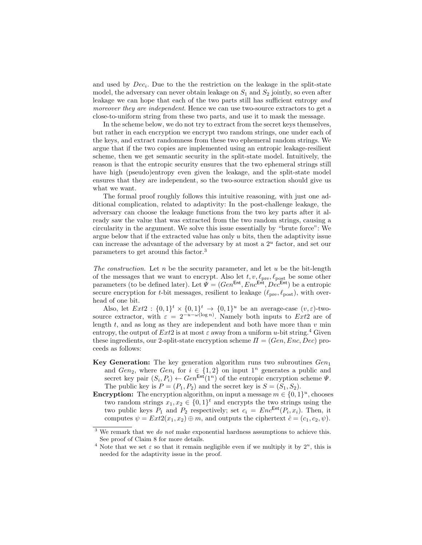and used by  $Dec_i$ . Due to the the restriction on the leakage in the split-state model, the adversary can never obtain leakage on  $S_1$  and  $S_2$  jointly, so even after leakage we can hope that each of the two parts still has sufficient entropy and moreover they are independent. Hence we can use two-source extractors to get a close-to-uniform string from these two parts, and use it to mask the message.

In the scheme below, we do not try to extract from the secret keys themselves, but rather in each encryption we encrypt two random strings, one under each of the keys, and extract randomness from these two ephemeral random strings. We argue that if the two copies are implemented using an entropic leakage-resilient scheme, then we get semantic security in the split-state model. Intuitively, the reason is that the entropic security ensures that the two ephemeral strings still have high (pseudo)entropy even given the leakage, and the split-state model ensures that they are independent, so the two-source extraction should give us what we want.

The formal proof roughly follows this intuitive reasoning, with just one additional complication, related to adaptivity: In the post-challenge leakage, the adversary can choose the leakage functions from the two key parts after it already saw the value that was extracted from the two random strings, causing a circularity in the argument. We solve this issue essentially by "brute force": We argue below that if the extracted value has only  $u$  bits, then the adaptivity issue can increase the advantage of the adversary by at most a  $2<sup>u</sup>$  factor, and set our parameters to get around this factor.<sup>3</sup>

The construction. Let  $n$  be the security parameter, and let  $u$  be the bit-length of the messages that we want to encrypt. Also let  $t, v, \ell_{pre}, \ell_{post}$  be some other parameters (to be defined later). Let  $\Psi = (Gen^{\text{Ent}}, Enc^{\text{Ent}}, Dec^{\text{Ent}})$  be a entropic secure encryption for t-bit messages, resilient to leakage ( $\ell_{pre}, \ell_{post}$ ), with overhead of one bit.

Also, let  $Ext2: \{0,1\}^t \times \{0,1\}^t \rightarrow \{0,1\}^u$  be an average-case  $(v, \varepsilon)$ -twosource extractor, with  $\varepsilon = 2^{-u-\omega(\log n)}$ . Namely both inputs to Ext2 are of length  $t$ , and as long as they are independent and both have more than  $v$  min entropy, the output of  $Ext2$  is at most  $\varepsilon$  away from a uniform u-bit string.<sup>4</sup> Given these ingredients, our 2-split-state encryption scheme  $\Pi = (Gen, Enc, Dec)$  proceeds as follows:

- **Key Generation:** The key generation algorithm runs two subroutines  $Gen_1$ and  $Gen_2$ , where  $Gen_i$  for  $i \in \{1,2\}$  on input  $1^n$  generates a public and secret key pair  $(S_i, P_i) \leftarrow Gen^{\text{Ent}}(1^n)$  of the entropic encryption scheme  $\Psi$ . The public key is  $P = (P_1, P_2)$  and the secret key is  $S = (S_1, S_2)$ .
- **Encryption:** The encryption algorithm, on input a message  $m \in \{0, 1\}^u$ , chooses two random strings  $x_1, x_2 \in \{0, 1\}^t$  and encrypts the two strings using the two public keys  $P_1$  and  $P_2$  respectively; set  $c_i = Enc^{\text{Ent}}(P_i, x_i)$ . Then, it computes  $\psi = Ext2(x_1, x_2) \oplus m$ , and outputs the ciphertext  $\hat{c} = (c_1, c_2, \psi)$ .

 $3$  We remark that we *do not* make exponential hardness assumptions to achieve this. See proof of Claim 8 for more details.

<sup>&</sup>lt;sup>4</sup> Note that we set  $\varepsilon$  so that it remain negligible even if we multiply it by  $2^u$ , this is needed for the adaptivity issue in the proof.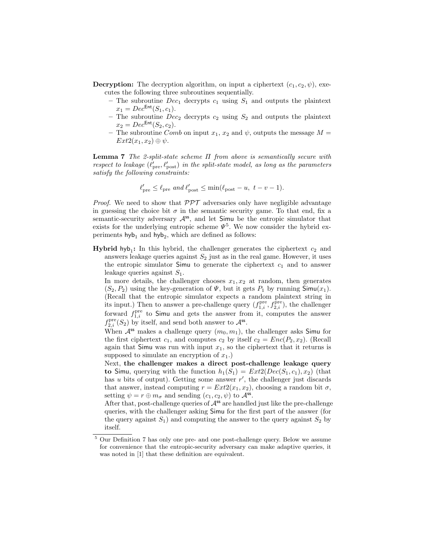**Decryption:** The decryption algorithm, on input a ciphertext  $(c_1, c_2, \psi)$ , executes the following three subroutines sequentially.

- The subroutine  $Dec_1$  decrypts  $c_1$  using  $S_1$  and outputs the plaintext  $x_1 = Dec^{\text{Ent}}(S_1, c_1).$
- The subroutine  $Dec_2$  decrypts  $c_2$  using  $S_2$  and outputs the plaintext  $x_2 = Dec^{\text{Ent}}(S_2, c_2).$
- The subroutine Comb on input  $x_1, x_2$  and  $\psi$ , outputs the message  $M =$  $Ext2(x_1, x_2) \oplus \psi$ .

Lemma 7 The 2-split-state scheme Π from above is semantically secure with respect to leakage  $(\ell'_{pre}, \ell'_{post})$  in the split-state model, as long as the parameters satisfy the following constraints:

$$
\ell'_{\text{pre}} \leq \ell_{\text{pre}} \text{ and } \ell'_{\text{post}} \leq \min(\ell_{\text{post}} - u, t - v - 1).
$$

*Proof.* We need to show that  $\mathcal{PPT}$  adversaries only have negligible advantage in guessing the choice bit  $\sigma$  in the semantic security game. To that end, fix a semantic-security adversary  $A^{ss}$ , and let Simu be the entropic simulator that exists for the underlying entropic scheme  $\Psi^5$ . We now consider the hybrid experiments  $\mathsf{hyb}_1$  and  $\mathsf{hyb}_2$ , which are defined as follows:

**Hybrid hyb<sub>1</sub>:** In this hybrid, the challenger generates the ciphertext  $c_2$  and answers leakage queries against  $S_2$  just as in the real game. However, it uses the entropic simulator  $Simu$  to generate the ciphertext  $c_1$  and to answer leakage queries against  $S_1$ .

In more details, the challenger chooses  $x_1, x_2$  at random, then generates  $(S_2, P_2)$  using the key-generation of  $\Psi$ , but it gets  $P_1$  by running  $\textsf{Simu}(x_1)$ . (Recall that the entropic simulator expects a random plaintext string in its input.) Then to answer a pre-challenge query  $(f_{1,i}^{\text{pre}}, f_{2,i}^{\text{pre}})$ , the challenger forward  $f_{1,i}^{\text{pre}}$  to Simu and gets the answer from it, computes the answer  $f_{2,i}^{\text{pre}}(S_2)$  by itself, and send both answer to  $\mathcal{A}^{\text{ss}}$ .

When  $\mathcal{A}^{ss}$  makes a challenge query  $(m_0, m_1)$ , the challenger asks Simu for the first ciphertext  $c_1$ , and computes  $c_2$  by itself  $c_2 = Enc(P_2, x_2)$ . (Recall again that Simu was run with input  $x_1$ , so the ciphertext that it returns is supposed to simulate an encryption of  $x_1$ .)

Next, the challenger makes a direct post-challenge leakage query to Simu, querying with the function  $h_1(S_1) = Ext2(Dec(S_1, c_1), x_2)$  (that has  $u$  bits of output). Getting some answer  $r'$ , the challenger just discards that answer, instead computing  $r = Ext2(x_1, x_2)$ , choosing a random bit  $\sigma$ , setting  $\psi = r \oplus m_{\sigma}$  and sending  $(c_1, c_2, \psi)$  to  $\mathcal{A}^{ss}$ .

After that, post-challenge queries of  $\mathcal{A}^{ss}$  are handled just like the pre-challenge queries, with the challenger asking Simu for the first part of the answer (for the query against  $S_1$ ) and computing the answer to the query against  $S_2$  by itself.

 $^5$  Our Definition 7 has only one pre- and one post-challenge query. Below we assume for convenience that the entropic-security adversary can make adaptive queries, it was noted in [1] that these definition are equivalent.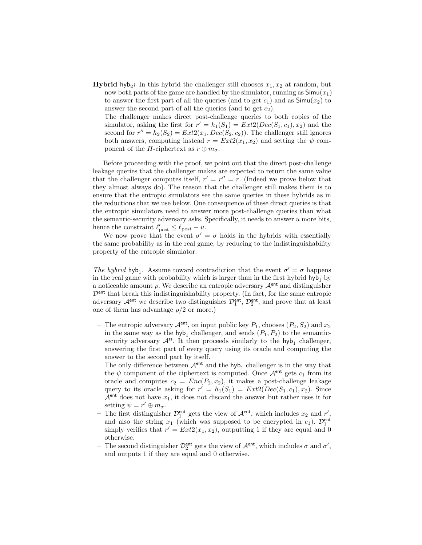**Hybrid**  $hyb_2$ : In this hybrid the challenger still chooses  $x_1, x_2$  at random, but now both parts of the game are handled by the simulator, running as  $\textsf{Simu}(x_1)$ to answer the first part of all the queries (and to get  $c_1$ ) and as  $Simu(x_2)$  to answer the second part of all the queries (and to get  $c_2$ ).

The challenger makes direct post-challenge queries to both copies of the simulator, asking the first for  $r' = h_1(S_1) = Ext2(Dec(S_1, c_1), x_2)$  and the second for  $r'' = h_2(S_2) = Ext2(x_1, Dec(S_2, c_2))$ . The challenger still ignores both answers, computing instead  $r = Ext2(x_1, x_2)$  and setting the  $\psi$  component of the  $\Pi$ -ciphertext as  $r \oplus m_{\sigma}$ .

Before proceeding with the proof, we point out that the direct post-challenge leakage queries that the challenger makes are expected to return the same value that the challenger computes itself,  $r' = r'' = r$ . (Indeed we prove below that they almost always do). The reason that the challenger still makes them is to ensure that the entropic simulators see the same queries in these hybrids as in the reductions that we use below. One consequence of these direct queries is that the entropic simulators need to answer more post-challenge queries than what the semantic-security adversary asks. Specifically, it needs to answer  $u$  more bits, hence the constraint  $\ell'_{\text{post}} \leq \ell_{\text{post}} - u$ .

We now prove that the event  $\sigma' = \sigma$  holds in the hybrids with essentially the same probability as in the real game, by reducing to the indistinguishability property of the entropic simulator.

The hybrid hyb<sub>1</sub>. Assume toward contradiction that the event  $\sigma' = \sigma$  happens in the real game with probability which is larger than in the first hybrid  $h_y h_1$  by a noticeable amount  $\rho$ . We describe an entropic adversary  $\mathcal{A}^{\text{ent}}$  and distinguisher  $\mathcal{D}^{\text{ent}}$  that break this indistinguishability property. (In fact, for the same entropic adversary  $\mathcal{A}^{\text{ent}}$  we describe two distinguishes  $\mathcal{D}_1^{\text{ent}}, \mathcal{D}_2^{\text{ent}},$  and prove that at least one of them has advantage  $\rho/2$  or more.)

– The entropic adversary  $\mathcal{A}^{\text{ent}}$ , on input public key  $P_1$ , chooses  $(P_2, S_2)$  and  $x_2$ in the same way as the  $\mathsf{hyb}_1$  challenger, and sends  $(P_1, P_2)$  to the semanticsecurity adversary  $\mathcal{A}^{ss}$ . It then proceeds similarly to the  $\mathsf{hyb}_1$  challenger, answering the first part of every query using its oracle and computing the answer to the second part by itself.

The only difference between  $\mathcal{A}^{\text{ent}}$  and the  $\text{hyb}_1$  challenger is in the way that the  $\psi$  component of the ciphertext is computed. Once  $\mathcal{A}^{\text{ent}}$  gets  $c_1$  from its oracle and computes  $c_2 = Enc(P_2, x_2)$ , it makes a post-challenge leakage query to its oracle asking for  $r' = h_1(S_1) = Ext2(Dec(S_1, c_1), x_2)$ . Since  $\mathcal{A}^{\text{ent}}$  does not have  $x_1$ , it does not discard the answer but rather uses it for setting  $\psi = r' \oplus m_{\sigma}$ .

- The first distinguisher  $\mathcal{D}_1^{\text{ent}}$  gets the view of  $\mathcal{A}^{\text{ent}}$ , which includes  $x_2$  and  $r'$ , and also the string  $x_1$  (which was supposed to be encrypted in  $c_1$ ).  $\mathcal{D}_1^{\text{ent}}$ simply verifies that  $r' = Ext2(x_1, x_2)$ , outputting 1 if they are equal and 0 otherwise.
- The second distinguisher  $\mathcal{D}_2^{\text{ent}}$  gets the view of  $\mathcal{A}^{\text{ent}}$ , which includes  $\sigma$  and  $\sigma'$ , and outputs 1 if they are equal and 0 otherwise.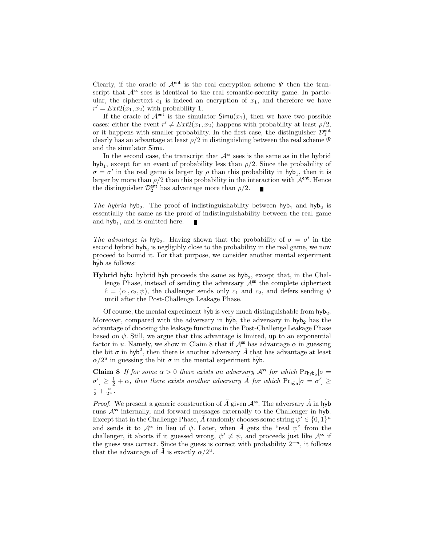Clearly, if the oracle of  $\mathcal{A}^{\text{ent}}$  is the real encryption scheme  $\Psi$  then the transcript that  $A^{ss}$  sees is identical to the real semantic-security game. In particular, the ciphertext  $c_1$  is indeed an encryption of  $x_1$ , and therefore we have  $r' = Ext2(x_1, x_2)$  with probability 1.

If the oracle of  $\mathcal{A}^{\text{ent}}$  is the simulator  $\textsf{Simu}(x_1)$ , then we have two possible cases: either the event  $r' \neq Ext2(x_1, x_2)$  happens with probability at least  $\rho/2$ , or it happens with smaller probability. In the first case, the distinguisher  $\mathcal{D}_1^{\text{ent}}$ clearly has an advantage at least  $\rho/2$  in distinguishing between the real scheme  $\Psi$ and the simulator Simu.

In the second case, the transcript that  $A^{ss}$  sees is the same as in the hybrid hyb<sub>1</sub>, except for an event of probability less than  $\rho/2$ . Since the probability of  $\sigma = \sigma'$  in the real game is larger by  $\rho$  than this probability in  $\mathsf{hyb}_1$ , then it is larger by more than  $\rho/2$  than this probability in the interaction with  $\mathcal{A}^{\text{ent}}$ . Hence the distinguisher  $\mathcal{D}_2^{\text{ent}}$  has advantage more than  $\rho/2$ .

The hybrid  $hyb_2$ . The proof of indistinguishability between  $hyb_1$  and  $hyb_2$  is essentially the same as the proof of indistinguishability between the real game and  $\mathsf{hyb}_1$ , and is omitted here.

The advantage in hyb<sub>2</sub>. Having shown that the probability of  $\sigma = \sigma'$  in the second hybrid  $\text{hyb}_2$  is negligibly close to the probability in the real game, we now proceed to bound it. For that purpose, we consider another mental experiment hyb as follows:

Hybrid hyb: hybrid hyb proceeds the same as  $\mathsf{hyb}_2$ , except that, in the Challenge Phase, instead of sending the adversary  $A^{ss}$  the complete ciphertext  $\hat{c} = (c_1, c_2, \psi)$ , the challenger sends only  $c_1$  and  $c_2$ , and defers sending  $\psi$ until after the Post-Challenge Leakage Phase.

Of course, the mental experiment  $\tilde{hyp}$  is very much distinguishable from  $hyb_2$ . Moreover, compared with the adversary in hyb, the adversary in  $hyb<sub>2</sub>$  has the advantage of choosing the leakage functions in the Post-Challenge Leakage Phase based on  $\psi$ . Still, we argue that this advantage is limited, up to an exponential factor in u. Namely, we show in Claim 8 that if  $\mathcal{A}^{ss}$  has advantage  $\alpha$  in guessing the bit  $\sigma$  in hyb<sup>2</sup>, then there is another adversary  $\tilde{A}$  that has advantage at least  $\alpha/2^u$  in guessing the bit  $\sigma$  in the mental experiment hyb.

**Claim 8** If for some  $\alpha > 0$  there exists an adversary  $\mathcal{A}^{ss}$  for which  $Pr_{\text{hyb}_2}[\sigma =$  $\sigma' \geq \frac{1}{2} + \alpha$ , then there exists another adversary  $\tilde{A}$  for which  $Pr_{\tilde{\textbf{hyb}}}[\sigma = \sigma'] \geq$  $\frac{1}{2} + \frac{\alpha}{2^u}$ .

*Proof.* We present a generic construction of  $\tilde{A}$  given  $\mathcal{A}^{ss}$ . The adversary  $\tilde{A}$  in hyb runs  $A^{ss}$  internally, and forward messages externally to the Challenger in hyb. Except that in the Challenge Phase,  $\tilde{A}$  randomly chooses some string  $\psi' \in \{0,1\}^u$ and sends it to  $\mathcal{A}^{ss}$  in lieu of  $\psi$ . Later, when  $\tilde{A}$  gets the "real  $\psi$ " from the challenger, it aborts if it guessed wrong,  $\psi' \neq \psi$ , and proceeds just like  $\mathcal{A}^{ss}$  if the guess was correct. Since the guess is correct with probability  $2^{-u}$ , it follows that the advantage of  $\tilde{A}$  is exactly  $\alpha/2^u$ .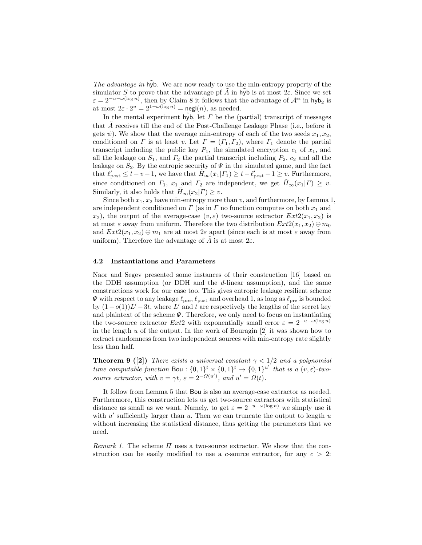The advantage in hyb. We are now ready to use the min-entropy property of the simulator S to prove that the advantage pf  $\tilde{A}$  in hyb is at most  $2\varepsilon$ . Since we set  $\varepsilon = 2^{-u-\omega(\log n)}$ , then by Claim 8 it follows that the advantage of  $\mathcal{A}^{ss}$  in hyb<sub>2</sub> is at most  $2\varepsilon \cdot 2^u = 2^{1-\omega(\log n)} = \mathsf{negl}(n)$ , as needed.

In the mental experiment hyb, let  $\Gamma$  be the (partial) transcript of messages that A˜ receives till the end of the Post-Challenge Leakage Phase (i.e., before it gets  $\psi$ ). We show that the average min-entropy of each of the two seeds  $x_1, x_2$ , conditioned on  $\Gamma$  is at least v. Let  $\Gamma = (\Gamma_1, \Gamma_2)$ , where  $\Gamma_1$  denote the partial transcript including the public key  $P_1$ , the simulated encryption  $c_1$  of  $x_1$ , and all the leakage on  $S_1$ , and  $\Gamma_2$  the partial transcript including  $P_2$ ,  $c_2$  and all the leakage on  $S_2$ . By the entropic security of  $\Psi$  in the simulated game, and the fact that  $\ell'_{\text{post}} \leq t - v - 1$ , we have that  $\tilde{H}_{\infty}(x_1 | \Gamma_1) \geq t - \ell'_{\text{post}} - 1 \geq v$ . Furthermore, since conditioned on  $\Gamma_1$ ,  $x_1$  and  $\Gamma_2$  are independent, we get  $H_{\infty}(x_1|T) \geq v$ . Similarly, it also holds that  $H_{\infty}(x_2|F) \geq v$ .

Since both  $x_1, x_2$  have min-entropy more than  $v$ , and furthermore, by Lemma 1, are independent conditioned on  $\Gamma$  (as in  $\Gamma$  no function computes on both  $x_1$  and  $x_2$ , the output of the average-case  $(v, \varepsilon)$  two-source extractor  $Ext2(x_1, x_2)$  is at most  $\varepsilon$  away from uniform. Therefore the two distribution  $Ext2(x_1, x_2) \oplus m_0$ and  $Ext2(x_1, x_2) \oplus m_1$  are at most  $2\varepsilon$  apart (since each is at most  $\varepsilon$  away from uniform). Therefore the advantage of A is at most  $2\varepsilon$ .

### 4.2 Instantiations and Parameters

Naor and Segev presented some instances of their construction [16] based on the DDH assumption (or DDH and the  $d$ -linear assumption), and the same constructions work for our case too. This gives entropic leakage resilient scheme  $\Psi$  with respect to any leakage  $\ell_{\text{pre}}$ ,  $\ell_{\text{post}}$  and overhead 1, as long as  $\ell_{\text{pre}}$  is bounded by  $(1-o(1))L' - 3t$ , where L' and t are respectively the lengths of the secret key and plaintext of the scheme  $\Psi$ . Therefore, we only need to focus on instantiating the two-source extractor Ext2 with exponentially small error  $\varepsilon = 2^{-u-\omega(\log n)}$ in the length  $u$  of the output. In the work of Bouragin [2] it was shown how to extract randomness from two independent sources with min-entropy rate slightly less than half.

**Theorem 9 ([2])** There exists a universal constant  $\gamma < 1/2$  and a polynomial time computable function Bou :  $\{0,1\}^t \times \{0,1\}^t \rightarrow \{0,1\}^{u'}$  that is a  $(v,\varepsilon)$ -twosource extractor, with  $v = \gamma t$ ,  $\varepsilon = 2^{-\Omega(u')}$ , and  $u' = \Omega(t)$ .

It follow from Lemma 5 that Bou is also an average-case extractor as needed. Furthermore, this construction lets us get two-source extractors with statistical distance as small as we want. Namely, to get  $\varepsilon = 2^{-u-\omega(\log n)}$  we simply use it with  $u'$  sufficiently larger than  $u$ . Then we can truncate the output to length  $u$ without increasing the statistical distance, thus getting the parameters that we need.

Remark 1. The scheme  $\Pi$  uses a two-source extractor. We show that the construction can be easily modified to use a c-source extractor, for any  $c > 2$ :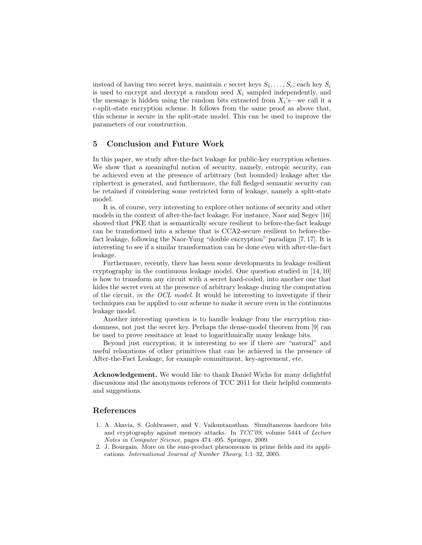instead of having two secret keys, maintain c secret keys  $S_1, \ldots, S_c$ ; each key  $S_i$ is used to encrypt and decrypt a random seed  $X_i$  sampled independently, and the message is hidden using the random bits extracted from  $X_i$ 's—we call it a c-split-state encryption scheme. It follows from the same proof as above that, this scheme is secure in the split-state model. This can be used to improve the parameters of our construction.

# 5 Conclusion and Future Work

In this paper, we study after-the-fact leakage for public-key encryption schemes. We show that a meaningful notion of security, namely, entropic security, can be achieved even at the presence of arbitrary (but bounded) leakage after the ciphertext is generated, and furthermore, the full fledged semantic security can be retained if considering some restricted form of leakage, namely a split-state model.

It is, of course, very interesting to explore other notions of security and other models in the context of after-the-fact leakage. For instance, Naor and Segev [16] showed that PKE that is semantically secure resilient to before-the-fact leakage can be transformed into a scheme that is CCA2-secure resilient to before-thefact leakage, following the Naor-Yung "double encryption" paradigm [7, 17]. It is interesting to see if a similar transformation can be done even with after-the-fact leakage.

Furthermore, recently, there has been some developments in leakage resilient cryptography in the continuous leakage model. One question studied in [14, 10] is how to transform any circuit with a secret hard-coded, into another one that hides the secret even at the presence of arbitrary leakage during the computation of the circuit, in the OCL model. It would be interesting to investigate if their techniques can be applied to our scheme to make it secure even in the continuous leakage model.

Another interesting question is to handle leakage from the encryption randomness, not just the secret key. Perhaps the dense-model theorem from [9] can be used to prove ressitance at least to logarithmically many leakage bits.

Beyond just encryption, it is interesting to see if there are "natural" and useful relaxations of other primitives that can be achieved in the presence of After-the-Fact Leakage, for example commitment, key-agreement, etc.

Acknowledgement. We would like to thank Daniel Wichs for many delightful discussions and the anonymous referees of TCC 2011 for their helpful comments and suggestions.

# References

- 1. A. Akavia, S. Goldwasser, and V. Vaikuntanathan. Simultaneous hardcore bits and cryptography against memory attacks. In  $TCC'09$ , volume 5444 of Lecture Notes in Computer Science, pages 474–495. Springer, 2009.
- 2. J. Bourgain. More on the sum-product phenomenon in prime fields and its applications. International Journal of Number Theory, 1:1–32, 2005.